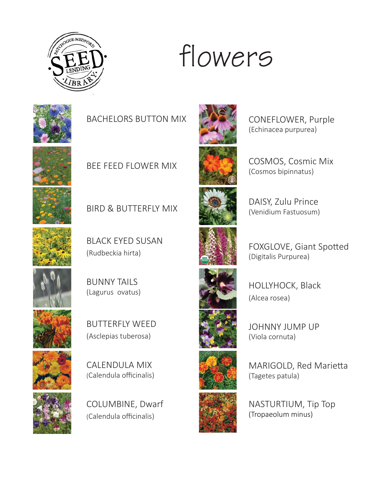

#### flowers



BACHELORS BUTTON MIX



BEE FEED FLOWER MIX







BLACK EYED SUSAN (Rudbeckia hirta)







BUTTERFLY WEED (Asclepias tuberosa)







COLUMBINE, Dwarf (Calendula officinalis)



CONEFLOWER, Purple (Echinacea purpurea)

COSMOS, Cosmic Mix (Cosmos bipinnatus)



DAISY, Zulu Prince (Venidium Fastuosum)



FOXGLOVE, Giant Spotted (Digitalis Purpurea)



HOLLYHOCK, Black (Alcea rosea)

JOHNNY JUMP UP (Viola cornuta)



MARIGOLD, Red Marietta (Tagetes patula)

NASTURTIUM, Tip Top (Tropaeolum minus)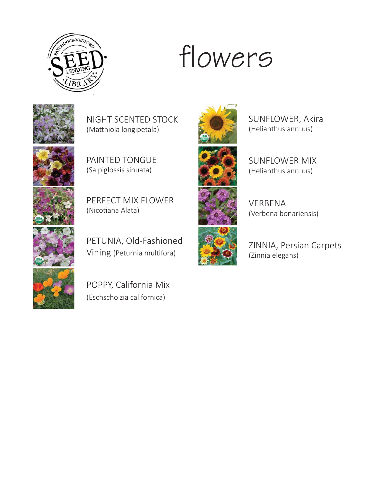

### flowers



NIGHT SCENTED STOCK (Matthiola longipetala)



PAINTED TONGUE (Salpiglossis sinuata)

PERFECT MIX FLOWER (Nicotiana Alata)



PETUNIA, Old-Fashioned Vining (Peturnia multifora)



POPPY, California Mix (Eschscholzia californica)







VERBENA (Verbena bonariensis)

SUNFLOWER, Akira (Helianthus annuus)

SUNFLOWER MIX (Helianthus annuus)

ZINNIA, Persian Carpets (Zinnia elegans)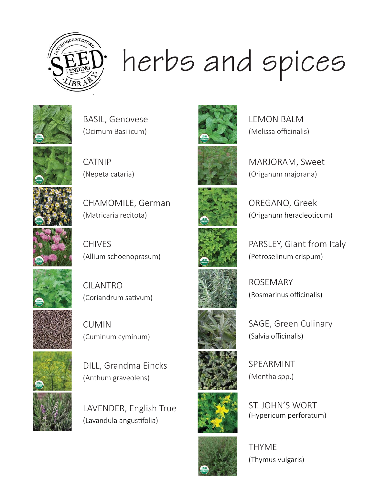

# herbs and spices







CATNIP (Nepeta cataria)



CHAMOMILE, German (Matricaria recitota)

CHIVES (Allium schoenoprasum)



CILANTRO (Coriandrum sativum)

CUMIN (Cuminum cyminum)















OREGANO, Greek













THYME (Thymus vulgaris)

ST. JOHN'S WORT (Hypericum perforatum)

(Melissa officinalis)

LEMON BALM

MARJORAM, Sweet (Origanum majorana)

(Origanum heracleoticum)

PARSLEY, Giant from Italy (Petroselinum crispum)

ROSEMARY (Rosmarinus officinalis)

SAGE, Green Culinary (Salvia officinalis)

SPEARMINT (Mentha spp.)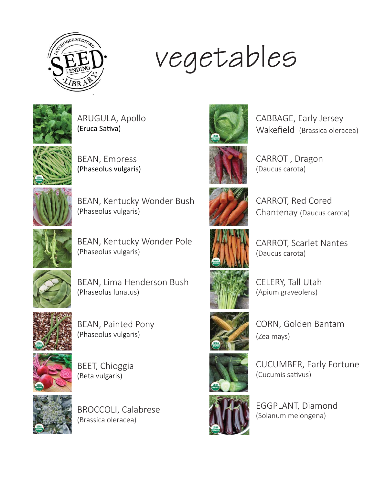

## vegetables



ARUGULA, Apollo (Eruca Sativa)







BEAN, Kentucky Wonder Bush (Phaseolus vulgaris)



BEAN, Kentucky Wonder Pole (Phaseolus vulgaris)



BEAN, Lima Henderson Bush (Phaseolus lunatus)



BEAN, Painted Pony (Phaseolus vulgaris)







BROCCOLI, Calabrese (Brassica oleracea)



CABBAGE, Early Jersey Wakefield (Brassica oleracea)



CARROT , Dragon (Daucus carota)



CARROT, Red Cored Chantenay (Daucus carota)



CARROT, Scarlet Nantes (Daucus carota)



CELERY, Tall Utah (Apium graveolens)



CORN, Golden Bantam (Zea mays)



CUCUMBER, Early Fortune (Cucumis sativus)



EGGPLANT, Diamond (Solanum melongena)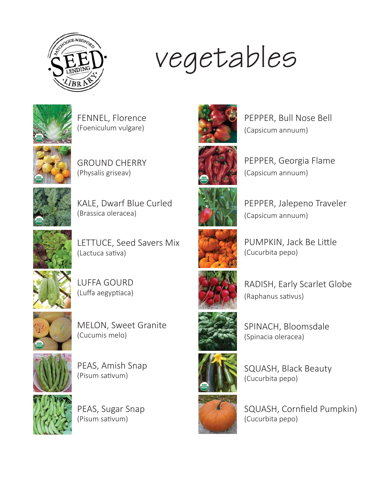

## vegetables







GROUND CHERRY (Physalis griseav)



KALE, Dwarf Blue Curled (Brassica oleracea)



LETTUCE, Seed Savers Mix (Lactuca sativa)







MELON, Sweet Granite (Cucumis melo)



PEAS, Amish Snap (Pisum sativum)



PEAS, Sugar Snap (Pisum sativum)







PEPPER, Georgia Flame (Capsicum annuum)



PEPPER, Jalepeno Traveler (Capsicum annuum)











SPINACH, Bloomsdale (Spinacia oleracea)



SQUASH, Black Beauty (Cucurbita pepo)



SQUASH, Cornfield Pumpkin) (Cucurbita pepo)